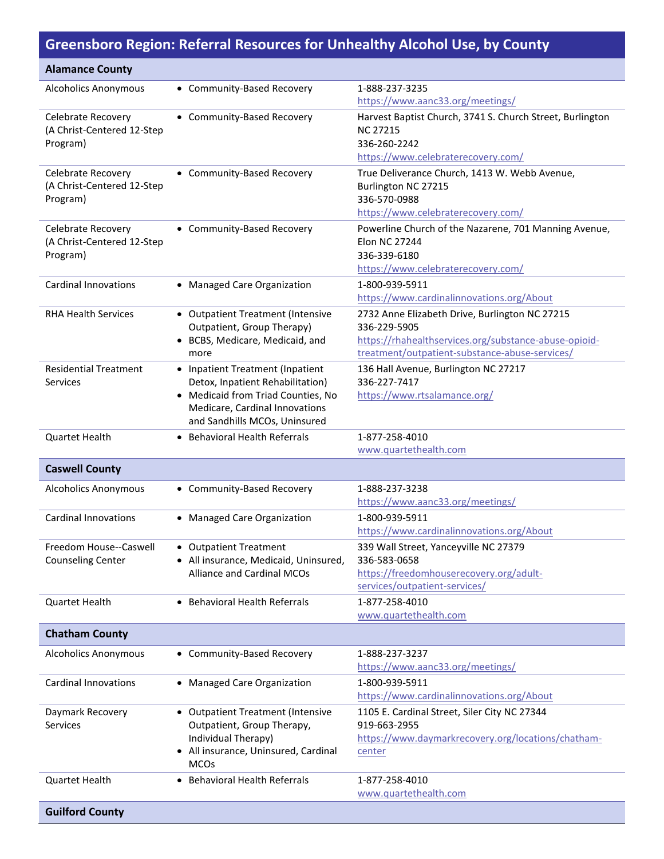## **Greensboro Region: Referral Resources for Unhealthy Alcohol Use, by County**

| <b>Alamance County</b>                                       |                                                                                                                                                                               |                                                                                                                                                                           |
|--------------------------------------------------------------|-------------------------------------------------------------------------------------------------------------------------------------------------------------------------------|---------------------------------------------------------------------------------------------------------------------------------------------------------------------------|
| <b>Alcoholics Anonymous</b>                                  | • Community-Based Recovery                                                                                                                                                    | 1-888-237-3235<br>https://www.aanc33.org/meetings/                                                                                                                        |
| Celebrate Recovery<br>(A Christ-Centered 12-Step<br>Program) | • Community-Based Recovery                                                                                                                                                    | Harvest Baptist Church, 3741 S. Church Street, Burlington<br><b>NC 27215</b><br>336-260-2242<br>https://www.celebraterecovery.com/                                        |
| Celebrate Recovery<br>(A Christ-Centered 12-Step<br>Program) | • Community-Based Recovery                                                                                                                                                    | True Deliverance Church, 1413 W. Webb Avenue,<br>Burlington NC 27215<br>336-570-0988<br>https://www.celebraterecovery.com/                                                |
| Celebrate Recovery<br>(A Christ-Centered 12-Step<br>Program) | • Community-Based Recovery                                                                                                                                                    | Powerline Church of the Nazarene, 701 Manning Avenue,<br><b>Elon NC 27244</b><br>336-339-6180<br>https://www.celebraterecovery.com/                                       |
| <b>Cardinal Innovations</b>                                  | • Managed Care Organization                                                                                                                                                   | 1-800-939-5911<br>https://www.cardinalinnovations.org/About                                                                                                               |
| <b>RHA Health Services</b>                                   | • Outpatient Treatment (Intensive<br>Outpatient, Group Therapy)<br>• BCBS, Medicare, Medicaid, and<br>more                                                                    | 2732 Anne Elizabeth Drive, Burlington NC 27215<br>336-229-5905<br>https://rhahealthservices.org/substance-abuse-opioid-<br>treatment/outpatient-substance-abuse-services/ |
| <b>Residential Treatment</b><br>Services                     | • Inpatient Treatment (Inpatient<br>Detox, Inpatient Rehabilitation)<br>• Medicaid from Triad Counties, No<br>Medicare, Cardinal Innovations<br>and Sandhills MCOs, Uninsured | 136 Hall Avenue, Burlington NC 27217<br>336-227-7417<br>https://www.rtsalamance.org/                                                                                      |
| Quartet Health                                               | • Behavioral Health Referrals                                                                                                                                                 | 1-877-258-4010<br>www.quartethealth.com                                                                                                                                   |
| <b>Caswell County</b>                                        |                                                                                                                                                                               |                                                                                                                                                                           |
| <b>Alcoholics Anonymous</b>                                  | • Community-Based Recovery                                                                                                                                                    | 1-888-237-3238<br>https://www.aanc33.org/meetings/                                                                                                                        |
| <b>Cardinal Innovations</b>                                  | • Managed Care Organization                                                                                                                                                   | 1-800-939-5911<br>https://www.cardinalinnovations.org/About                                                                                                               |
| Freedom House--Caswell<br><b>Counseling Center</b>           | • Outpatient Treatment<br>• All insurance, Medicaid, Uninsured,<br><b>Alliance and Cardinal MCOs</b>                                                                          | 339 Wall Street, Yanceyville NC 27379<br>336-583-0658<br>https://freedomhouserecovery.org/adult-<br>services/outpatient-services/                                         |
| Quartet Health                                               | • Behavioral Health Referrals                                                                                                                                                 | 1-877-258-4010<br>www.quartethealth.com                                                                                                                                   |
| <b>Chatham County</b>                                        |                                                                                                                                                                               |                                                                                                                                                                           |
| <b>Alcoholics Anonymous</b>                                  | • Community-Based Recovery                                                                                                                                                    | 1-888-237-3237<br>https://www.aanc33.org/meetings/                                                                                                                        |
| <b>Cardinal Innovations</b>                                  | • Managed Care Organization                                                                                                                                                   | 1-800-939-5911<br>https://www.cardinalinnovations.org/About                                                                                                               |
| Daymark Recovery<br><b>Services</b>                          | • Outpatient Treatment (Intensive<br>Outpatient, Group Therapy,<br>Individual Therapy)<br>• All insurance, Uninsured, Cardinal<br><b>MCOs</b>                                 | 1105 E. Cardinal Street, Siler City NC 27344<br>919-663-2955<br>https://www.daymarkrecovery.org/locations/chatham-<br>center                                              |
| Quartet Health                                               | • Behavioral Health Referrals                                                                                                                                                 | 1-877-258-4010<br>www.quartethealth.com                                                                                                                                   |
| <b>Guilford County</b>                                       |                                                                                                                                                                               |                                                                                                                                                                           |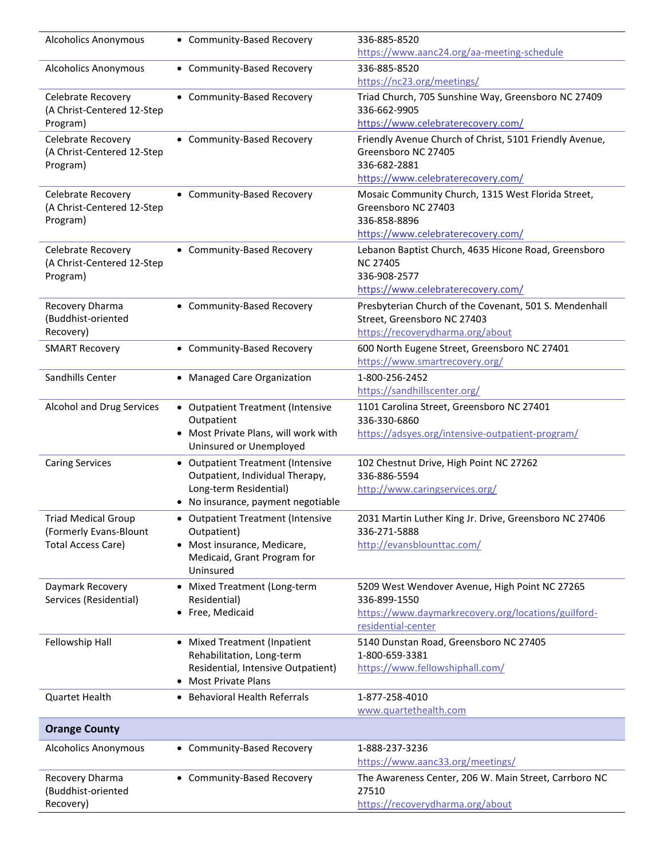| <b>Alcoholics Anonymous</b>                          | • Community-Based Recovery                                 | 336-885-8520                                                                   |
|------------------------------------------------------|------------------------------------------------------------|--------------------------------------------------------------------------------|
|                                                      |                                                            | https://www.aanc24.org/aa-meeting-schedule                                     |
| <b>Alcoholics Anonymous</b>                          | • Community-Based Recovery                                 | 336-885-8520                                                                   |
|                                                      |                                                            | https://nc23.org/meetings/                                                     |
| Celebrate Recovery                                   | • Community-Based Recovery                                 | Triad Church, 705 Sunshine Way, Greensboro NC 27409                            |
| (A Christ-Centered 12-Step                           |                                                            | 336-662-9905<br>https://www.celebraterecovery.com/                             |
| Program)                                             |                                                            |                                                                                |
| Celebrate Recovery<br>(A Christ-Centered 12-Step     | • Community-Based Recovery                                 | Friendly Avenue Church of Christ, 5101 Friendly Avenue,<br>Greensboro NC 27405 |
| Program)                                             |                                                            | 336-682-2881                                                                   |
|                                                      |                                                            | https://www.celebraterecovery.com/                                             |
| Celebrate Recovery                                   | • Community-Based Recovery                                 | Mosaic Community Church, 1315 West Florida Street,                             |
| (A Christ-Centered 12-Step                           |                                                            | Greensboro NC 27403                                                            |
| Program)                                             |                                                            | 336-858-8896                                                                   |
|                                                      |                                                            | https://www.celebraterecovery.com/                                             |
| Celebrate Recovery                                   | • Community-Based Recovery                                 | Lebanon Baptist Church, 4635 Hicone Road, Greensboro                           |
| (A Christ-Centered 12-Step                           |                                                            | <b>NC 27405</b>                                                                |
| Program)                                             |                                                            | 336-908-2577                                                                   |
|                                                      |                                                            | https://www.celebraterecovery.com/                                             |
| Recovery Dharma                                      | • Community-Based Recovery                                 | Presbyterian Church of the Covenant, 501 S. Mendenhall                         |
| (Buddhist-oriented<br>Recovery)                      |                                                            | Street, Greensboro NC 27403<br>https://recoverydharma.org/about                |
|                                                      | • Community-Based Recovery                                 | 600 North Eugene Street, Greensboro NC 27401                                   |
| <b>SMART Recovery</b>                                |                                                            | https://www.smartrecovery.org/                                                 |
| Sandhills Center                                     | • Managed Care Organization                                | 1-800-256-2452                                                                 |
|                                                      |                                                            | https://sandhillscenter.org/                                                   |
| Alcohol and Drug Services                            | • Outpatient Treatment (Intensive                          | 1101 Carolina Street, Greensboro NC 27401                                      |
|                                                      | Outpatient                                                 | 336-330-6860                                                                   |
|                                                      | • Most Private Plans, will work with                       | https://adsyes.org/intensive-outpatient-program/                               |
|                                                      | Uninsured or Unemployed                                    |                                                                                |
| <b>Caring Services</b>                               | • Outpatient Treatment (Intensive                          | 102 Chestnut Drive, High Point NC 27262                                        |
|                                                      | Outpatient, Individual Therapy,                            | 336-886-5594                                                                   |
|                                                      | Long-term Residential)<br>No insurance, payment negotiable | http://www.caringservices.org/                                                 |
|                                                      |                                                            |                                                                                |
| <b>Triad Medical Group</b><br>(Formerly Evans-Blount | • Outpatient Treatment (Intensive<br>Outpatient)           | 2031 Martin Luther King Jr. Drive, Greensboro NC 27406<br>336-271-5888         |
| <b>Total Access Care)</b>                            | • Most insurance, Medicare,                                | http://evansblounttac.com/                                                     |
|                                                      | Medicaid, Grant Program for                                |                                                                                |
|                                                      | Uninsured                                                  |                                                                                |
| Daymark Recovery                                     | • Mixed Treatment (Long-term                               | 5209 West Wendover Avenue, High Point NC 27265                                 |
| Services (Residential)                               | Residential)                                               | 336-899-1550                                                                   |
|                                                      | • Free, Medicaid                                           | https://www.daymarkrecovery.org/locations/guilford-<br>residential-center      |
| Fellowship Hall                                      | • Mixed Treatment (Inpatient                               | 5140 Dunstan Road, Greensboro NC 27405                                         |
|                                                      | Rehabilitation, Long-term                                  | 1-800-659-3381                                                                 |
|                                                      | Residential, Intensive Outpatient)                         | https://www.fellowshiphall.com/                                                |
|                                                      | • Most Private Plans                                       |                                                                                |
| Quartet Health                                       | • Behavioral Health Referrals                              | 1-877-258-4010<br>www.quartethealth.com                                        |
| <b>Orange County</b>                                 |                                                            |                                                                                |
| <b>Alcoholics Anonymous</b>                          | • Community-Based Recovery                                 | 1-888-237-3236                                                                 |
|                                                      |                                                            | https://www.aanc33.org/meetings/                                               |
| Recovery Dharma                                      | • Community-Based Recovery                                 | The Awareness Center, 206 W. Main Street, Carrboro NC                          |
| (Buddhist-oriented                                   |                                                            | 27510                                                                          |
| Recovery)                                            |                                                            | https://recoverydharma.org/about                                               |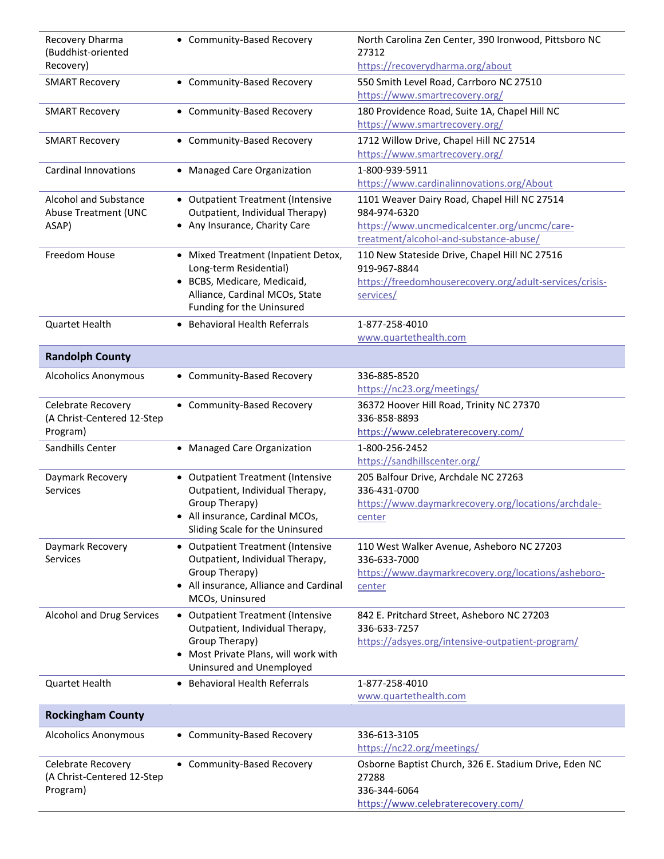| Recovery Dharma<br>(Buddhist-oriented                         | • Community-Based Recovery                                                                                                                                   | North Carolina Zen Center, 390 Ironwood, Pittsboro NC<br>27312                                                                                         |
|---------------------------------------------------------------|--------------------------------------------------------------------------------------------------------------------------------------------------------------|--------------------------------------------------------------------------------------------------------------------------------------------------------|
| Recovery)                                                     |                                                                                                                                                              | https://recoverydharma.org/about                                                                                                                       |
| <b>SMART Recovery</b>                                         | • Community-Based Recovery                                                                                                                                   | 550 Smith Level Road, Carrboro NC 27510<br>https://www.smartrecovery.org/                                                                              |
| <b>SMART Recovery</b>                                         | • Community-Based Recovery                                                                                                                                   | 180 Providence Road, Suite 1A, Chapel Hill NC<br>https://www.smartrecovery.org/                                                                        |
| <b>SMART Recovery</b>                                         | • Community-Based Recovery                                                                                                                                   | 1712 Willow Drive, Chapel Hill NC 27514<br>https://www.smartrecovery.org/                                                                              |
| <b>Cardinal Innovations</b>                                   | • Managed Care Organization                                                                                                                                  | 1-800-939-5911<br>https://www.cardinalinnovations.org/About                                                                                            |
| Alcohol and Substance<br><b>Abuse Treatment (UNC</b><br>ASAP) | • Outpatient Treatment (Intensive<br>Outpatient, Individual Therapy)<br>• Any Insurance, Charity Care                                                        | 1101 Weaver Dairy Road, Chapel Hill NC 27514<br>984-974-6320<br>https://www.uncmedicalcenter.org/uncmc/care-<br>treatment/alcohol-and-substance-abuse/ |
| Freedom House                                                 | • Mixed Treatment (Inpatient Detox,<br>Long-term Residential)<br>• BCBS, Medicare, Medicaid,<br>Alliance, Cardinal MCOs, State<br>Funding for the Uninsured  | 110 New Stateside Drive, Chapel Hill NC 27516<br>919-967-8844<br>https://freedomhouserecovery.org/adult-services/crisis-<br>services/                  |
| <b>Quartet Health</b>                                         | • Behavioral Health Referrals                                                                                                                                | 1-877-258-4010<br>www.quartethealth.com                                                                                                                |
| <b>Randolph County</b>                                        |                                                                                                                                                              |                                                                                                                                                        |
| <b>Alcoholics Anonymous</b>                                   | • Community-Based Recovery                                                                                                                                   | 336-885-8520<br>https://nc23.org/meetings/                                                                                                             |
| Celebrate Recovery<br>(A Christ-Centered 12-Step<br>Program)  | • Community-Based Recovery                                                                                                                                   | 36372 Hoover Hill Road, Trinity NC 27370<br>336-858-8893<br>https://www.celebraterecovery.com/                                                         |
| Sandhills Center                                              | • Managed Care Organization                                                                                                                                  | 1-800-256-2452<br>https://sandhillscenter.org/                                                                                                         |
| Daymark Recovery<br><b>Services</b>                           | • Outpatient Treatment (Intensive<br>Outpatient, Individual Therapy,<br>Group Therapy)<br>• All insurance, Cardinal MCOs,<br>Sliding Scale for the Uninsured | 205 Balfour Drive, Archdale NC 27263<br>336-431-0700<br>https://www.daymarkrecovery.org/locations/archdale-<br>center                                  |
| Daymark Recovery<br>Services                                  | • Outpatient Treatment (Intensive<br>Outpatient, Individual Therapy,<br>Group Therapy)<br>• All insurance, Alliance and Cardinal<br>MCOs, Uninsured          | 110 West Walker Avenue, Asheboro NC 27203<br>336-633-7000<br>https://www.daymarkrecovery.org/locations/asheboro-<br>center                             |
| Alcohol and Drug Services                                     | • Outpatient Treatment (Intensive<br>Outpatient, Individual Therapy,<br>Group Therapy)<br>• Most Private Plans, will work with<br>Uninsured and Unemployed   | 842 E. Pritchard Street, Asheboro NC 27203<br>336-633-7257<br>https://adsyes.org/intensive-outpatient-program/                                         |
| <b>Quartet Health</b>                                         | • Behavioral Health Referrals                                                                                                                                | 1-877-258-4010<br>www.quartethealth.com                                                                                                                |
| <b>Rockingham County</b>                                      |                                                                                                                                                              |                                                                                                                                                        |
| <b>Alcoholics Anonymous</b>                                   | • Community-Based Recovery                                                                                                                                   | 336-613-3105<br>https://nc22.org/meetings/                                                                                                             |
| Celebrate Recovery<br>(A Christ-Centered 12-Step<br>Program)  | • Community-Based Recovery                                                                                                                                   | Osborne Baptist Church, 326 E. Stadium Drive, Eden NC<br>27288<br>336-344-6064<br>https://www.celebraterecovery.com/                                   |